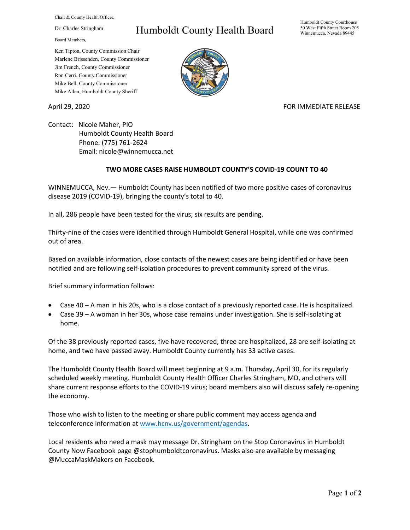Chair & County Health Officer,

Dr. Charles Stringham

Board Members,

## Humboldt County Health Board

Humboldt County Courthouse 50 West Fifth Street Room 205 Winnemucca, Nevada 89445

Ken Tipton, County Commission Chair Marlene Brissenden, County Commissioner Jim French, County Commissioner Ron Cerri, County Commissioner Mike Bell, County Commissioner Mike Allen, Humboldt County Sheriff

April 29, 2020 **FOR IMMEDIATE RELEASE** 

Contact: Nicole Maher, PIO Humboldt County Health Board Phone: (775) 761-2624 Email: nicole@winnemucca.net

## **TWO MORE CASES RAISE HUMBOLDT COUNTY'S COVID-19 COUNT TO 40**

WINNEMUCCA, Nev.— Humboldt County has been notified of two more positive cases of coronavirus disease 2019 (COVID-19), bringing the county's total to 40.

In all, 286 people have been tested for the virus; six results are pending.

Thirty-nine of the cases were identified through Humboldt General Hospital, while one was confirmed out of area.

Based on available information, close contacts of the newest cases are being identified or have been notified and are following self-isolation procedures to prevent community spread of the virus.

Brief summary information follows:

- Case 40 A man in his 20s, who is a close contact of a previously reported case. He is hospitalized.
- Case 39 A woman in her 30s, whose case remains under investigation. She is self-isolating at home.

Of the 38 previously reported cases, five have recovered, three are hospitalized, 28 are self-isolating at home, and two have passed away. Humboldt County currently has 33 active cases.

The Humboldt County Health Board will meet beginning at 9 a.m. Thursday, April 30, for its regularly scheduled weekly meeting. Humboldt County Health Officer Charles Stringham, MD, and others will share current response efforts to the COVID-19 virus; board members also will discuss safely re-opening the economy.

Those who wish to listen to the meeting or share public comment may access agenda and teleconference information at [www.hcnv.us/government/agendas.](http://www.hcnv.us/government/agendas)

Local residents who need a mask may message Dr. Stringham on the Stop Coronavirus in Humboldt County Now Facebook page @stophumboldtcoronavirus. Masks also are available by messaging @MuccaMaskMakers on Facebook.